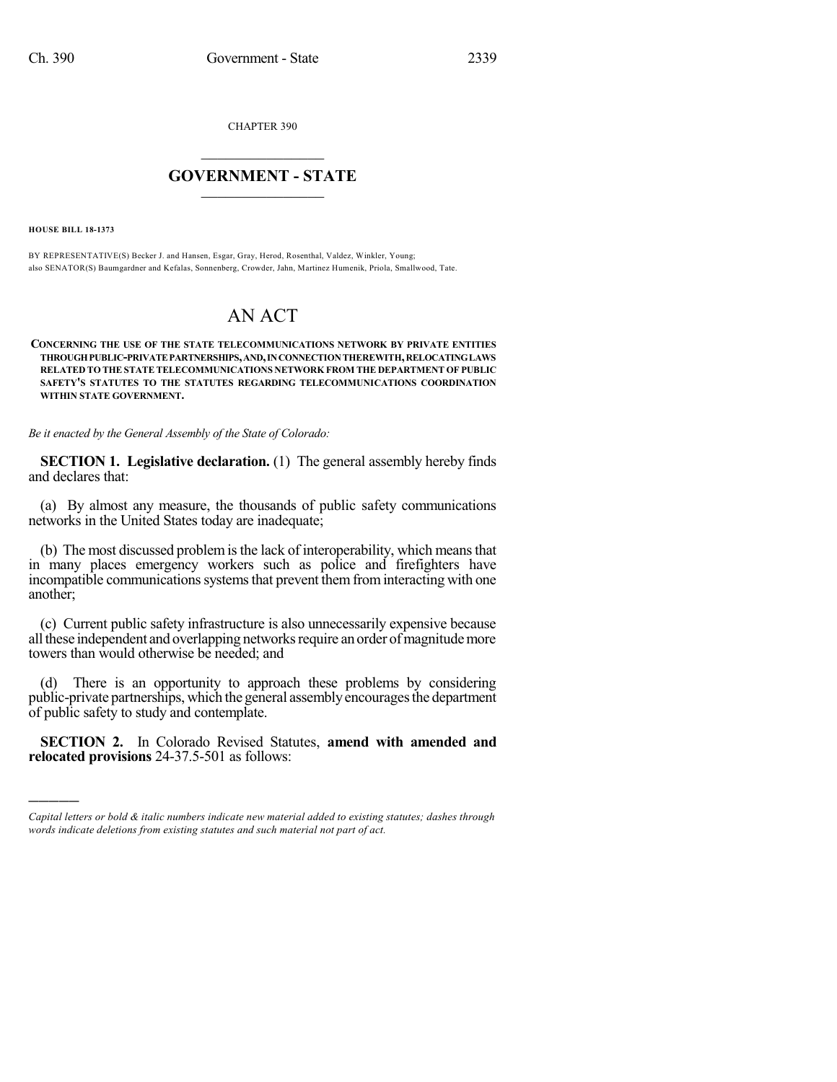CHAPTER 390

## $\mathcal{L}_\text{max}$  . The set of the set of the set of the set of the set of the set of the set of the set of the set of the set of the set of the set of the set of the set of the set of the set of the set of the set of the set **GOVERNMENT - STATE**  $\_$   $\_$   $\_$   $\_$   $\_$   $\_$   $\_$   $\_$   $\_$

**HOUSE BILL 18-1373**

)))))

BY REPRESENTATIVE(S) Becker J. and Hansen, Esgar, Gray, Herod, Rosenthal, Valdez, Winkler, Young; also SENATOR(S) Baumgardner and Kefalas, Sonnenberg, Crowder, Jahn, Martinez Humenik, Priola, Smallwood, Tate.

## AN ACT

**CONCERNING THE USE OF THE STATE TELECOMMUNICATIONS NETWORK BY PRIVATE ENTITIES THROUGHPUBLIC-PRIVATEPARTNERSHIPS,AND,INCONNECTIONTHEREWITH,RELOCATINGLAWS RELATED TO THE STATE TELECOMMUNICATIONS NETWORK FROM THE DEPARTMENT OF PUBLIC SAFETY'S STATUTES TO THE STATUTES REGARDING TELECOMMUNICATIONS COORDINATION WITHIN STATE GOVERNMENT.**

*Be it enacted by the General Assembly of the State of Colorado:*

**SECTION 1. Legislative declaration.** (1) The general assembly hereby finds and declares that:

(a) By almost any measure, the thousands of public safety communications networks in the United States today are inadequate;

(b) The most discussed problemisthe lack of interoperability, which meansthat in many places emergency workers such as police and firefighters have incompatible communications systems that prevent them from interacting with one another;

(c) Current public safety infrastructure is also unnecessarily expensive because all these independent and overlapping networks require an order of magnitude more towers than would otherwise be needed; and

(d) There is an opportunity to approach these problems by considering public-private partnerships, which the general assembly encourages the department of public safety to study and contemplate.

**SECTION 2.** In Colorado Revised Statutes, **amend with amended and relocated provisions** 24-37.5-501 as follows:

*Capital letters or bold & italic numbers indicate new material added to existing statutes; dashes through words indicate deletions from existing statutes and such material not part of act.*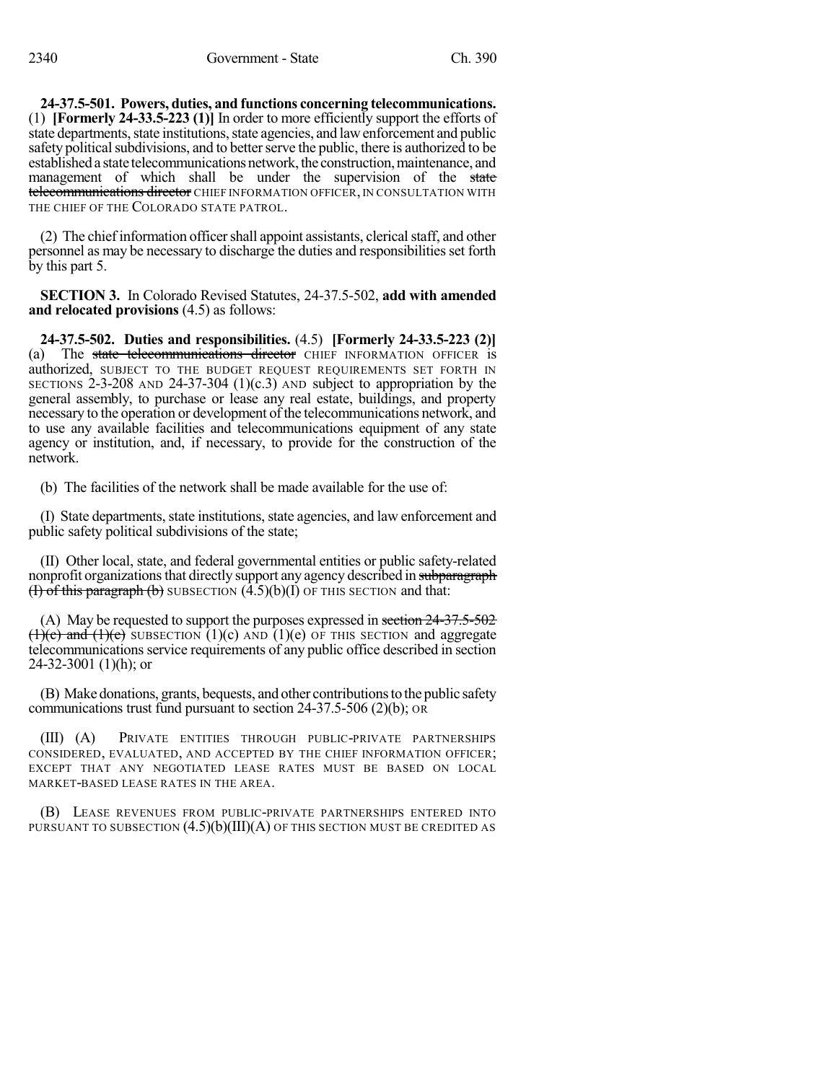**24-37.5-501. Powers, duties, and functions concerning telecommunications.** (1) **[Formerly 24-33.5-223 (1)]** In order to more efficiently support the efforts of state departments, state institutions, state agencies, and law enforcement and public safety political subdivisions, and to better serve the public, there is authorized to be established a state telecommunications network, the construction, maintenance, and management of which shall be under the supervision of the state telecommunications director CHIEF INFORMATION OFFICER, IN CONSULTATION WITH THE CHIEF OF THE COLORADO STATE PATROL.

(2) The chief information officer shall appoint assistants, clerical staff, and other personnel as may be necessary to discharge the duties and responsibilities set forth by this part 5.

**SECTION 3.** In Colorado Revised Statutes, 24-37.5-502, **add with amended and relocated provisions** (4.5) as follows:

**24-37.5-502. Duties and responsibilities.** (4.5) **[Formerly 24-33.5-223 (2)]** (a) The state telecommunications director CHIEF INFORMATION OFFICER is authorized, SUBJECT TO THE BUDGET REQUEST REQUIREMENTS SET FORTH IN SECTIONS 2-3-208 AND 24-37-304  $(1)(c.3)$  AND subject to appropriation by the general assembly, to purchase or lease any real estate, buildings, and property necessary to the operation or development of the telecommunications network, and to use any available facilities and telecommunications equipment of any state agency or institution, and, if necessary, to provide for the construction of the network.

(b) The facilities of the network shall be made available for the use of:

(I) State departments, state institutions, state agencies, and law enforcement and public safety political subdivisions of the state;

(II) Other local, state, and federal governmental entities or public safety-related nonprofit organizations that directly support any agency described in subparagraph  $(H)$  of this paragraph  $(b)$  SUBSECTION  $(4.5)(b)(I)$  OF THIS SECTION and that:

(A) May be requested to support the purposes expressed in section 24-37.5-502  $(1)(e)$  and  $(1)(e)$  SUBSECTION  $(1)(c)$  AND  $(1)(e)$  OF THIS SECTION and aggregate telecommunications service requirements of any public office described in section 24-32-3001 (1)(h); or

(B) Make donations, grants, bequests, and other contributionsto the public safety communications trust fund pursuant to section 24-37.5-506 (2)(b); OR

(III) (A) PRIVATE ENTITIES THROUGH PUBLIC-PRIVATE PARTNERSHIPS CONSIDERED, EVALUATED, AND ACCEPTED BY THE CHIEF INFORMATION OFFICER; EXCEPT THAT ANY NEGOTIATED LEASE RATES MUST BE BASED ON LOCAL MARKET-BASED LEASE RATES IN THE AREA.

(B) LEASE REVENUES FROM PUBLIC-PRIVATE PARTNERSHIPS ENTERED INTO PURSUANT TO SUBSECTION  $(4.5)(b)(III)(A)$  of this section must be credited as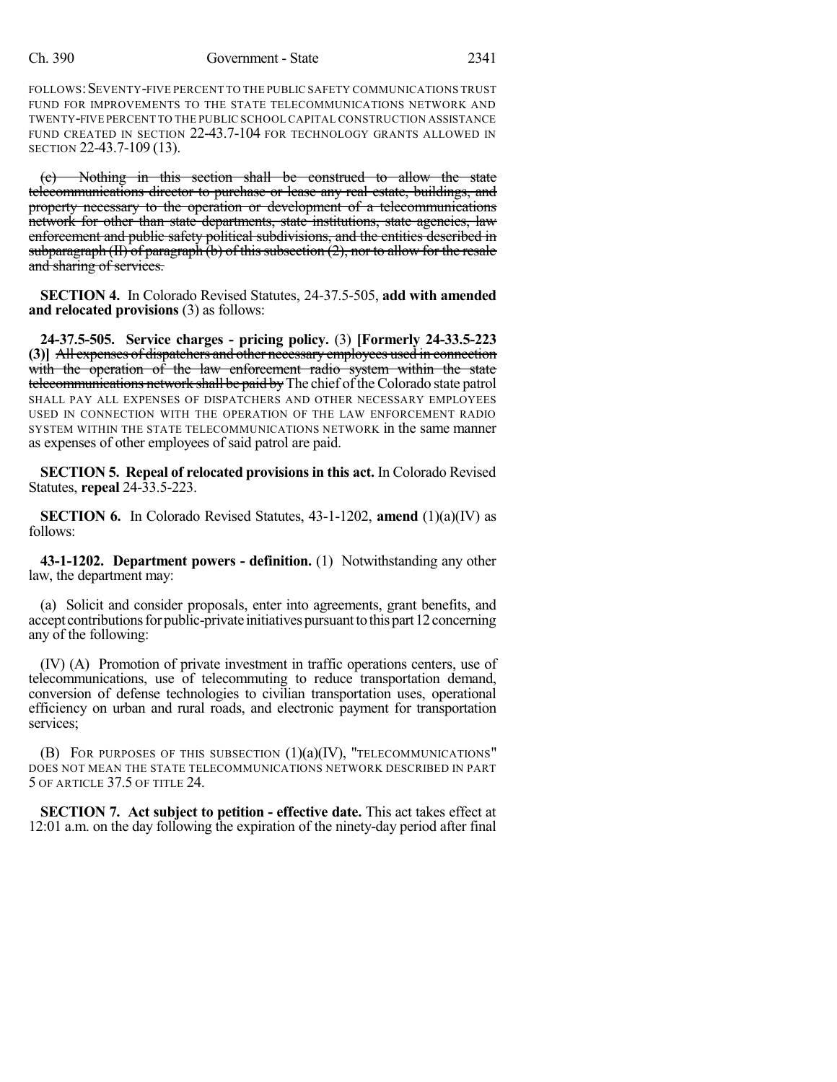## Ch. 390 Government - State 2341

FOLLOWS: SEVENTY-FIVE PERCENT TO THE PUBLIC SAFETY COMMUNICATIONS TRUST FUND FOR IMPROVEMENTS TO THE STATE TELECOMMUNICATIONS NETWORK AND TWENTY-FIVE PERCENT TO THE PUBLIC SCHOOL CAPITAL CONSTRUCTION ASSISTANCE FUND CREATED IN SECTION 22-43.7-104 FOR TECHNOLOGY GRANTS ALLOWED IN SECTION 22-43.7-109 (13).

(c) Nothing in this section shall be construed to allow the state telecommunications director to purchase or lease any real estate, buildings, and property necessary to the operation or development of a telecommunications network for other than state departments, state institutions, state agencies, law enforcement and public safety political subdivisions, and the entities described in subparagraph  $(H)$  of paragraph  $(b)$  of this subsection  $(2)$ , nor to allow for the resale and sharing of services.

**SECTION 4.** In Colorado Revised Statutes, 24-37.5-505, **add with amended and relocated provisions** (3) as follows:

**24-37.5-505. Service charges - pricing policy.** (3) **[Formerly 24-33.5-223 (3)]** All expenses of dispatchers and other necessary employees used in connection with the operation of the law enforcement radio system within the state telecommunications network shall be paid by The chief of the Colorado state patrol SHALL PAY ALL EXPENSES OF DISPATCHERS AND OTHER NECESSARY EMPLOYEES USED IN CONNECTION WITH THE OPERATION OF THE LAW ENFORCEMENT RADIO SYSTEM WITHIN THE STATE TELECOMMUNICATIONS NETWORK in the same manner as expenses of other employees of said patrol are paid.

**SECTION 5. Repeal of relocated provisionsin this act.** In Colorado Revised Statutes, **repeal** 24-33.5-223.

**SECTION 6.** In Colorado Revised Statutes, 43-1-1202, **amend** (1)(a)(IV) as follows:

**43-1-1202. Department powers - definition.** (1) Notwithstanding any other law, the department may:

(a) Solicit and consider proposals, enter into agreements, grant benefits, and accept contributions for public-private initiatives pursuant to this part 12 concerning any of the following:

(IV) (A) Promotion of private investment in traffic operations centers, use of telecommunications, use of telecommuting to reduce transportation demand, conversion of defense technologies to civilian transportation uses, operational efficiency on urban and rural roads, and electronic payment for transportation services;

(B) FOR PURPOSES OF THIS SUBSECTION  $(1)(a)(IV)$ , "TELECOMMUNICATIONS" DOES NOT MEAN THE STATE TELECOMMUNICATIONS NETWORK DESCRIBED IN PART 5 OF ARTICLE 37.5 OF TITLE 24.

**SECTION 7. Act subject to petition - effective date.** This act takes effect at 12:01 a.m. on the day following the expiration of the ninety-day period after final